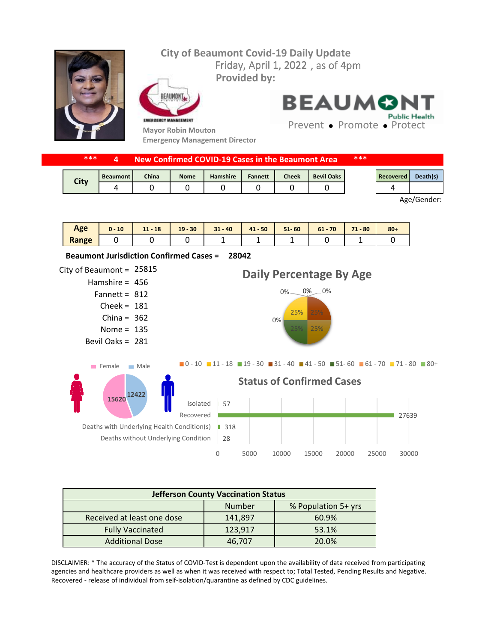## Friday, April 1, 2022, as of 4pm **City of Beaumont Covid-19 Daily Update Provided by:**



FAIIMON EMERGENCY MANAGEMENT

**28042 Beaumont Jurisdiction Confirmed Cases =** 

**Mayor Robin Mouton Emergency Management Director** **BEAUMON Public Health** 

Prevent • Promote • Protect

|             | *** |                 | New Confirmed COVID-19 Cases in the Beaumont Area |             |                 |         |       |                   | *** |           |          |
|-------------|-----|-----------------|---------------------------------------------------|-------------|-----------------|---------|-------|-------------------|-----|-----------|----------|
|             |     | <b>Beaumont</b> | <b>China</b>                                      | <b>Nome</b> | <b>Hamshire</b> | Fannett | Cheek | <b>Bevil Oaks</b> |     | Recovered | Death(s) |
| <b>City</b> |     | 4               |                                                   |             |                 |         |       |                   |     |           |          |

Age/Gender:

| Age   | 10<br>u - | $11 - 18$ | $19 - 30$ | $31 - 40$ | $41 - 50$ | $51 - 60$ | 70<br>$61 -$ | 71<br>$-80$<br>. . | $80 +$ |
|-------|-----------|-----------|-----------|-----------|-----------|-----------|--------------|--------------------|--------|
| Range |           |           |           | -         | -         | -         |              |                    |        |

City of Beaumont =  $25815$ Hamshire = 456 Fannett =  $812$ Cheek = 181 China =  $362$ Nome =  $135$ Bevil Oaks = 281 28 ■ 318 ■ 27639 57 0 5000 10000 15000 20000 25000 30000 Deaths without Underlying Condition Deaths with Underlying Health Condition(s) Recovered Isolated **Status of Confirmed Cases**  $0\%$   $-$ 25% 25% 0% 25% 0% 0% **Daily Percentage By Age**  $\blacksquare$ 0 - 10  $\blacksquare$  11 - 18  $\blacksquare$  19 - 30  $\blacksquare$  31 - 40  $\blacksquare$  41 - 50  $\blacksquare$  51 - 60  $\blacksquare$  61 - 70  $\blacksquare$  71 - 80  $\blacksquare$  80 + **12422 15620** Female Male

| <b>Jefferson County Vaccination Status</b> |         |       |  |  |  |  |
|--------------------------------------------|---------|-------|--|--|--|--|
| <b>Number</b><br>% Population 5+ yrs       |         |       |  |  |  |  |
| Received at least one dose                 | 141,897 | 60.9% |  |  |  |  |
| <b>Fully Vaccinated</b>                    | 123,917 | 53.1% |  |  |  |  |
| <b>Additional Dose</b>                     | 46,707  | 20.0% |  |  |  |  |

DISCLAIMER: \* The accuracy of the Status of COVID-Test is dependent upon the availability of data received from participating agencies and healthcare providers as well as when it was received with respect to; Total Tested, Pending Results and Negative. Recovered - release of individual from self-isolation/quarantine as defined by CDC guidelines.